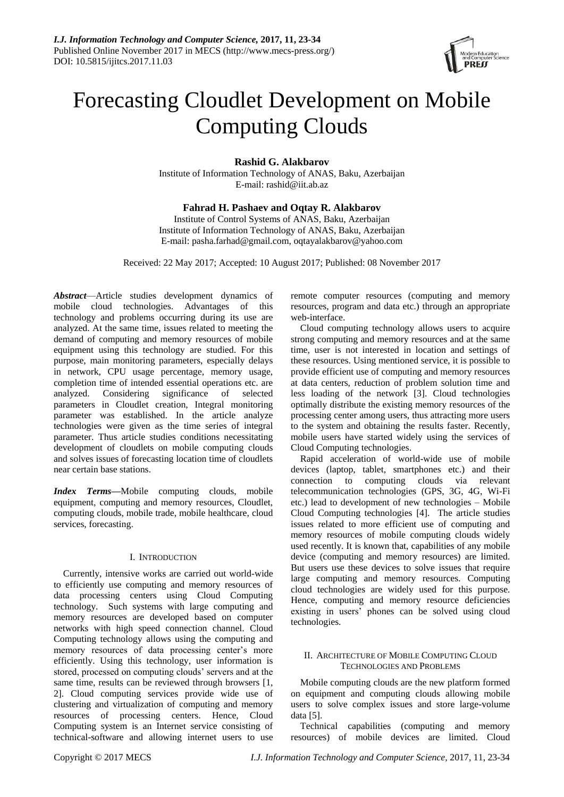

# Forecasting Cloudlet Development on Mobile Computing Clouds

**Rashid G. Alakbarov**

Institute of Information Technology of ANAS, Baku, Azerbaijan E-mail: rashid@iit.ab.az

## **Fahrad H. Pashaev and Oqtay R. Alakbarov**

Institute of Control Systems of ANAS, Baku, Azerbaijan Institute of Information Technology of ANAS, Baku, Azerbaijan E-mail: pasha.farhad@gmail.com, [oqtayalakbarov@yahoo.com](mailto:oqtayalakbarov@yahoo.com)

Received: 22 May 2017; Accepted: 10 August 2017; Published: 08 November 2017

*Abstract*—Article studies development dynamics of mobile cloud technologies. Advantages of this technology and problems occurring during its use are analyzed. At the same time, issues related to meeting the demand of computing and memory resources of mobile equipment using this technology are studied. For this purpose, main monitoring parameters, especially delays in network, CPU usage percentage, memory usage, completion time of intended essential operations etc. are analyzed. Considering significance of selected parameters in Cloudlet creation, Integral monitoring parameter was established. In the article analyze technologies were given as the time series of integral parameter. Thus article studies conditions necessitating development of cloudlets on mobile computing clouds and solves issues of forecasting location time of cloudlets near certain base stations.

*Index Terms***—**Mobile computing clouds, mobile equipment, computing and memory resources, Cloudlet, computing clouds, mobile trade, mobile healthcare, cloud services, forecasting.

#### I. INTRODUCTION

Currently, intensive works are carried out world-wide to efficiently use computing and memory resources of data processing centers using Cloud Computing technology. Such systems with large computing and memory resources are developed based on computer networks with high speed connection channel. Cloud Computing technology allows using the computing and memory resources of data processing center's more efficiently. Using this technology, user information is stored, processed on computing clouds' servers and at the same time, results can be reviewed through browsers [1, 2]. Cloud computing services provide wide use of clustering and virtualization of computing and memory resources of processing centers. Hence, Cloud Computing system is an Internet service consisting of technical-software and allowing internet users to use

remote computer resources (computing and memory resources, program and data etc.) through an appropriate web-interface.

Cloud computing technology allows users to acquire strong computing and memory resources and at the same time, user is not interested in location and settings of these resources. Using mentioned service, it is possible to provide efficient use of computing and memory resources at data centers, reduction of problem solution time and less loading of the network [3]. Cloud technologies optimally distribute the existing memory resources of the processing center among users, thus attracting more users to the system and obtaining the results faster. Recently, mobile users have started widely using the services of Cloud Computing technologies.

Rapid acceleration of world-wide use of mobile devices (laptop, tablet, smartphones etc.) and their connection to computing clouds via relevant telecommunication technologies (GPS, 3G, 4G, Wi-Fi etc.) lead to development of new technologies – Mobile Cloud Computing technologies [4]. The article studies issues related to more efficient use of computing and memory resources of mobile computing clouds widely used recently. It is known that, capabilities of any mobile device (computing and memory resources) are limited. But users use these devices to solve issues that require large computing and memory resources. Computing cloud technologies are widely used for this purpose. Hence, computing and memory resource deficiencies existing in users' phones can be solved using cloud technologies.

## II. ARCHITECTURE OF MOBILE COMPUTING CLOUD TECHNOLOGIES AND PROBLEMS

Mobile computing clouds are the new platform formed on equipment and computing clouds allowing mobile users to solve complex issues and store large-volume data [5].

Technical capabilities (computing and memory resources) of mobile devices are limited. Cloud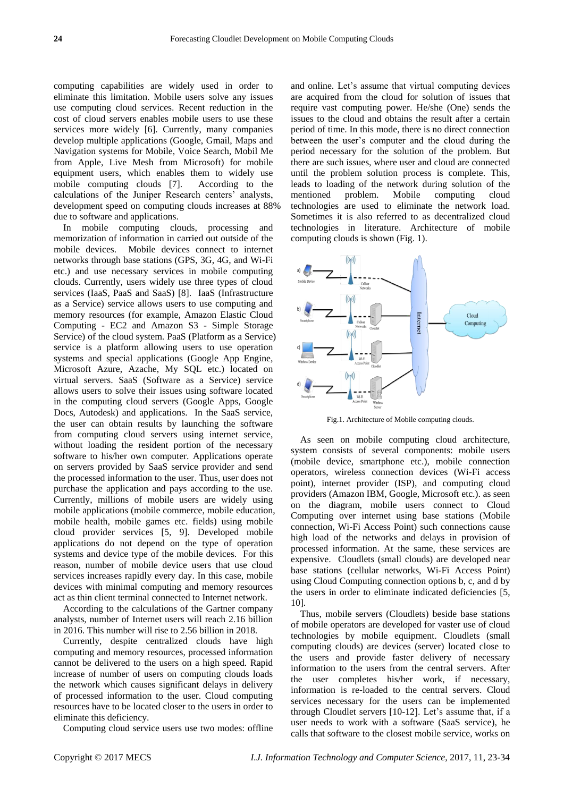computing capabilities are widely used in order to eliminate this limitation. Mobile users solve any issues use computing cloud services. Recent reduction in the cost of cloud servers enables mobile users to use these services more widely [6]. Currently, many companies develop multiple applications (Google, Gmail, Maps and Navigation systems for Mobile, Voice Search, Mobil Me from Apple, Live Mesh from Microsoft) for mobile equipment users, which enables them to widely use mobile computing clouds [7]. According to the calculations of the Juniper Research centers' analysts, development speed on computing clouds increases at 88% due to software and applications.

In mobile computing clouds, processing and memorization of information in carried out outside of the mobile devices. Mobile devices connect to internet networks through base stations (GPS, 3G, 4G, and Wi-Fi etc.) and use necessary services in mobile computing clouds. Currently, users widely use three types of cloud services (IaaS, PaaS and SaaS) [8]. IaaS (Infrastructure as a Service) service allows users to use computing and memory resources (for example, Amazon Elastic Cloud Computing - EC2 and Amazon S3 - Simple Storage Service) of the cloud system. PaaS (Platform as a Service) service is a platform allowing users to use operation systems and special applications (Google App Engine, Microsoft Azure, Azache, My SQL etc.) located on virtual servers. SaaS (Software as a Service) service allows users to solve their issues using software located in the computing cloud servers (Google Apps, Google Docs, Autodesk) and applications. In the SaaS service, the user can obtain results by launching the software from computing cloud servers using internet service, without loading the resident portion of the necessary software to his/her own computer. Applications operate on servers provided by SaaS service provider and send the processed information to the user. Thus, user does not purchase the application and pays according to the use. Currently, millions of mobile users are widely using mobile applications (mobile commerce, mobile education, mobile health, mobile games etc. fields) using mobile cloud provider services [5, 9]. Developed mobile applications do not depend on the type of operation systems and device type of the mobile devices. For this reason, number of mobile device users that use cloud services increases rapidly every day. In this case, mobile devices with minimal computing and memory resources act as thin client terminal connected to Internet network.

According to the calculations of the Gartner company analysts, number of Internet users will reach 2.16 billion in 2016. This number will rise to 2.56 billion in 2018.

Currently, despite centralized clouds have high computing and memory resources, processed information cannot be delivered to the users on a high speed. Rapid increase of number of users on computing clouds loads the network which causes significant delays in delivery of processed information to the user. Cloud computing resources have to be located closer to the users in order to eliminate this deficiency.

Computing cloud service users use two modes: offline

and online. Let's assume that virtual computing devices are acquired from the cloud for solution of issues that require vast computing power. He/she (One) sends the issues to the cloud and obtains the result after a certain period of time. In this mode, there is no direct connection between the user's computer and the cloud during the period necessary for the solution of the problem. But there are such issues, where user and cloud are connected until the problem solution process is complete. This, leads to loading of the network during solution of the mentioned problem. Mobile computing cloud technologies are used to eliminate the network load. Sometimes it is also referred to as decentralized cloud technologies in literature. Architecture of mobile computing clouds is shown (Fig. 1).



Fig.1. Architecture of Mobile computing clouds.

As seen on mobile computing cloud architecture, system consists of several components: mobile users (mobile device, smartphone etc.), mobile connection operators, wireless connection devices (Wi-Fi access point), internet provider (ISP), and computing cloud providers (Amazon IBM, Google, Microsoft etc.). as seen on the diagram, mobile users connect to Cloud Computing over internet using base stations (Mobile connection, Wi-Fi Access Point) such connections cause high load of the networks and delays in provision of processed information. At the same, these services are expensive. Cloudlets (small clouds) are developed near base stations (cellular networks, Wi-Fi Access Point) using Cloud Computing connection options b, c, and d by the users in order to eliminate indicated deficiencies [5, 10].

Thus, mobile servers (Cloudlets) beside base stations of mobile operators are developed for vaster use of cloud technologies by mobile equipment. Cloudlets (small computing clouds) are devices (server) located close to the users and provide faster delivery of necessary information to the users from the central servers. After the user completes his/her work, if necessary, information is re-loaded to the central servers. Cloud services necessary for the users can be implemented through Cloudlet servers [10-12]. Let's assume that, if a user needs to work with a software (SaaS service), he calls that software to the closest mobile service, works on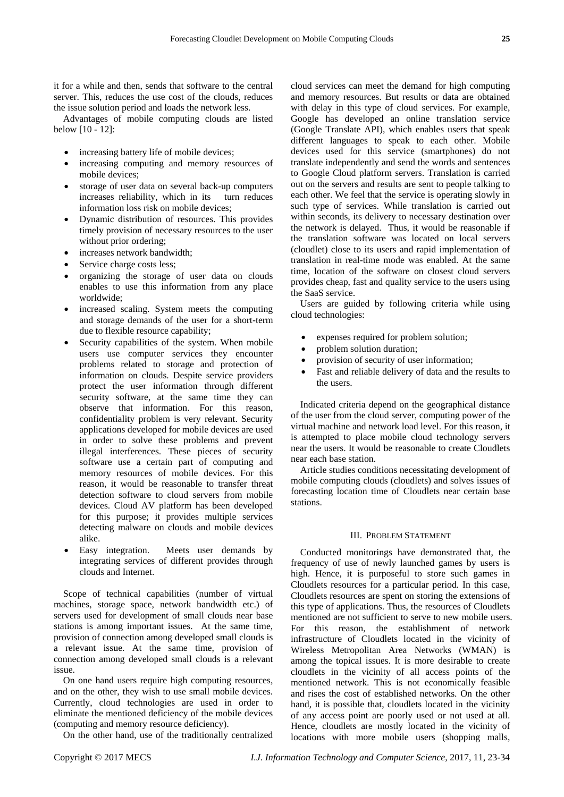it for a while and then, sends that software to the central server. This, reduces the use cost of the clouds, reduces the issue solution period and loads the network less.

Advantages of mobile computing clouds are listed below [10 - 12]:

- increasing battery life of mobile devices;
- increasing computing and memory resources of mobile devices;
- storage of user data on several back-up computers increases reliability, which in its turn reduces information loss risk on mobile devices;
- Dynamic distribution of resources. This provides timely provision of necessary resources to the user without prior ordering;
- increases network bandwidth;
- Service charge costs less;
- organizing the storage of user data on clouds enables to use this information from any place worldwide;
- increased scaling. System meets the computing and storage demands of the user for a short-term due to flexible resource capability;
- Security capabilities of the system. When mobile users use computer services they encounter problems related to storage and protection of information on clouds. Despite service providers protect the user information through different security software, at the same time they can observe that information. For this reason, confidentiality problem is very relevant. Security applications developed for mobile devices are used in order to solve these problems and prevent illegal interferences. These pieces of security software use a certain part of computing and memory resources of mobile devices. For this reason, it would be reasonable to transfer threat detection software to cloud servers from mobile devices. Cloud AV platform has been developed for this purpose; it provides multiple services detecting malware on clouds and mobile devices alike.
- Easy integration. Meets user demands by integrating services of different provides through clouds and Internet.

Scope of technical capabilities (number of virtual machines, storage space, network bandwidth etc.) of servers used for development of small clouds near base stations is among important issues. At the same time, provision of connection among developed small clouds is a relevant issue. At the same time, provision of connection among developed small clouds is a relevant issue.

On one hand users require high computing resources, and on the other, they wish to use small mobile devices. Currently, cloud technologies are used in order to eliminate the mentioned deficiency of the mobile devices (computing and memory resource deficiency).

On the other hand, use of the traditionally centralized

cloud services can meet the demand for high computing and memory resources. But results or data are obtained with delay in this type of cloud services. For example, Google has developed an online translation service (Google Translate API), which enables users that speak different languages to speak to each other. Mobile devices used for this service (smartphones) do not translate independently and send the words and sentences to Google Cloud platform servers. Translation is carried out on the servers and results are sent to people talking to each other. We feel that the service is operating slowly in such type of services. While translation is carried out within seconds, its delivery to necessary destination over the network is delayed. Thus, it would be reasonable if the translation software was located on local servers (cloudlet) close to its users and rapid implementation of translation in real-time mode was enabled. At the same time, location of the software on closest cloud servers provides cheap, fast and quality service to the users using the SaaS service.

Users are guided by following criteria while using cloud technologies:

- expenses required for problem solution;
- problem solution duration;
- provision of security of user information;
- Fast and reliable delivery of data and the results to the users.

Indicated criteria depend on the geographical distance of the user from the cloud server, computing power of the virtual machine and network load level. For this reason, it is attempted to place mobile cloud technology servers near the users. It would be reasonable to create Cloudlets near each base station.

Article studies conditions necessitating development of mobile computing clouds (cloudlets) and solves issues of forecasting location time of Cloudlets near certain base stations.

### III. PROBLEM STATEMENT

Conducted monitorings have demonstrated that, the frequency of use of newly launched games by users is high. Hence, it is purposeful to store such games in Cloudlets resources for a particular period. In this case, Cloudlets resources are spent on storing the extensions of this type of applications. Thus, the resources of Cloudlets mentioned are not sufficient to serve to new mobile users. For this reason, the establishment of network infrastructure of Cloudlets located in the vicinity of Wireless Metropolitan Area Networks (WMAN) is among the topical issues. It is more desirable to create cloudlets in the vicinity of all access points of the mentioned network. This is not economically feasible and rises the cost of established networks. On the other hand, it is possible that, cloudlets located in the vicinity of any access point are poorly used or not used at all. Hence, cloudlets are mostly located in the vicinity of locations with more mobile users (shopping malls,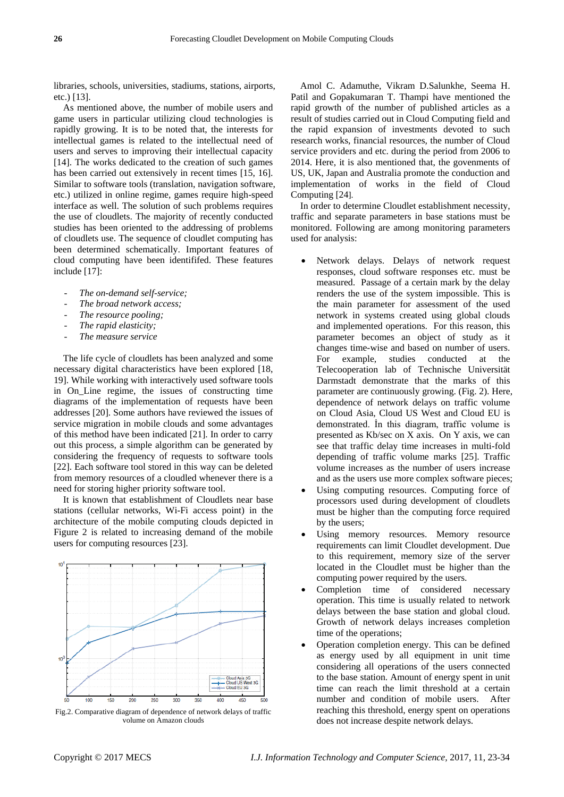libraries, schools, universities, stadiums, stations, airports, etc.) [13].

As mentioned above, the number of mobile users and game users in particular utilizing cloud technologies is rapidly growing. It is to be noted that, the interests for intellectual games is related to the intellectual need of users and serves to improving their intellectual capacity [14]. The works dedicated to the creation of such games has been carried out extensively in recent times [15, 16]. Similar to software tools (translation, navigation software, etc.) utilized in online regime, games require high-speed interface as well. The solution of such problems requires the use of cloudlets. The majority of recently conducted studies has been oriented to the addressing of problems of cloudlets use. The sequence of cloudlet computing has been determined schematically. Important features of cloud computing have been identififed. These features include [17]:

- *The on-demand self-service;*
- The broad network access:
- *The resource pooling;*
- The rapid elasticity;
- *The measure service*

The life cycle of cloudlets has been analyzed and some necessary digital characteristics have been explored [18, 19]. While working with interactively used software tools in On\_Line regime, the issues of constructing time diagrams of the implementation of requests have been addresses [20]. Some authors have reviewed the issues of service migration in mobile clouds and some advantages of this method have been indicated [21]. In order to carry out this process, a simple algorithm can be generated by considering the frequency of requests to software tools [22]. Each software tool stored in this way can be deleted from memory resources of a cloudled whenever there is a need for storing higher priority software tool.

It is known that establishment of Cloudlets near base stations (cellular networks, Wi-Fi access point) in the architecture of the mobile computing clouds depicted in Figure 2 is related to increasing demand of the mobile users for computing resources [23].



Fig.2. Comparative diagram of dependence of network delays of traffic volume on Amazon clouds

Amol C. Adamuthe, Vikram D.Salunkhe, Seema H. Patil and Gopakumaran T. Thampi have mentioned the rapid growth of the number of published articles as a result of studies carried out in Cloud Computing field and the rapid expansion of investments devoted to such research works, financial resources, the number of Cloud service providers and etc. during the period from 2006 to 2014. Here, it is also mentioned that, the govenments of US, UK, Japan and Australia promote the conduction and implementation of works in the field of Cloud Computing [24].

In order to determine Cloudlet establishment necessity, traffic and separate parameters in base stations must be monitored. Following are among monitoring parameters used for analysis:

- Network delays. Delays of network request responses, cloud software responses etc. must be measured. Passage of a certain mark by the delay renders the use of the system impossible. This is the main parameter for assessment of the used network in systems created using global clouds and implemented operations. For this reason, this parameter becomes an object of study as it changes time-wise and based on number of users. For example, studies conducted at the Telecooperation lab of Technische Universität Darmstadt demonstrate that the marks of this parameter are continuously growing. (Fig. 2). Here, dependence of network delays on traffic volume on Cloud Asia, Cloud US West and Cloud EU is demonstrated. İn this diagram, traffic volume is presented as Kb/sec on X axis. On Y axis, we can see that traffic delay time increases in multi-fold depending of traffic volume marks [25]. Traffic volume increases as the number of users increase and as the users use more complex software pieces;
- Using computing resources. Computing force of processors used during development of cloudlets must be higher than the computing force required by the users;
- Using memory resources. Memory resource requirements can limit Cloudlet development. Due to this requirement, memory size of the server located in the Cloudlet must be higher than the computing power required by the users.
- Completion time of considered necessary operation. This time is usually related to network delays between the base station and global cloud. Growth of network delays increases completion time of the operations;
- Operation completion energy. This can be defined as energy used by all equipment in unit time considering all operations of the users connected to the base station. Amount of energy spent in unit time can reach the limit threshold at a certain number and condition of mobile users. After reaching this threshold, energy spent on operations does not increase despite network delays.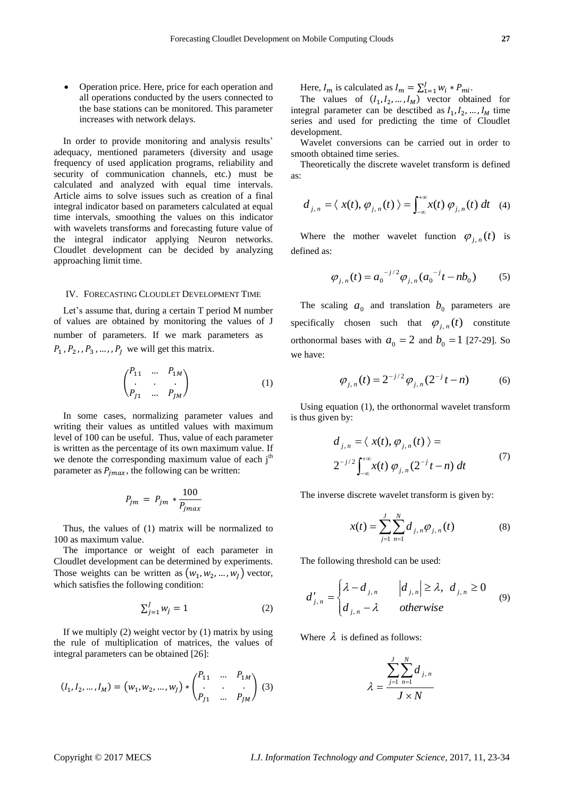Operation price. Here, price for each operation and all operations conducted by the users connected to the base stations can be monitored. This parameter increases with network delays.

In order to provide monitoring and analysis results' adequacy, mentioned parameters (diversity and usage frequency of used application programs, reliability and security of communication channels, etc.) must be calculated and analyzed with equal time intervals. Article aims to solve issues such as creation of a final integral indicator based on parameters calculated at equal time intervals, smoothing the values on this indicator with wavelets transforms and forecasting future value of the integral indicator applying Neuron networks. Cloudlet development can be decided by analyzing approaching limit time.

#### IV. FORECASTING CLOUDLET DEVELOPMENT TIME

Let's assume that, during a certain T period M number of values are obtained by monitoring the values of J number of parameters. If we mark parameters as  $P_1$ ,  $P_2$ ,  $P_3$ , ...,  $P_i$  we will get this matrix.

$$
\binom{P_{11}}{P_{J1}} \cdots \frac{P_{1M}}{P_{JM}} \tag{1}
$$

In some cases, normalizing parameter values and writing their values as untitled values with maximum level of 100 can be useful. Thus, value of each parameter is written as the percentage of its own maximum value. If we denote the corresponding maximum value of each  $j<sup>th</sup>$ parameter as  $P_{imax}$ , the following can be written:

$$
P_{jm} = P_{jm} * \frac{100}{P_{jmax}}
$$

Thus, the values of (1) matrix will be normalized to 100 as maximum value.

The importance or weight of each parameter in Cloudlet development can be determined by experiments. Those weights can be written as  $(w_1, w_2, ..., w_l)$  vector, which satisfies the following condition:

$$
\sum_{j=1}^{J} w_j = 1 \tag{2}
$$

If we multiply  $(2)$  weight vector by  $(1)$  matrix by using the rule of multiplication of matrices, the values of integral parameters can be obtained [26]:

$$
(I_1, I_2, ..., I_M) = (w_1, w_2, ..., w_J) * \begin{pmatrix} P_{11} & ... & P_{1M} \\ \cdot & \cdot & \cdot \\ P_{J1} & ... & P_{JM} \end{pmatrix} (3)
$$

Here,  $I_m$  is calculated as  $I_m = \sum_{1=1}^{J} w_i * P_{mi}$ .

The values of  $(I_1, I_2, ..., I_M)$  vector obtained for integral parameter can be desctibed as  $I_1, I_2, ..., I_M$  time series and used for predicting the time of Cloudlet development.

Wavelet conversions can be carried out in order to smooth obtained time series.

Theoretically the discrete wavelet transform is defined as:

$$
d_{j,n} = \langle x(t), \varphi_{j,n}(t) \rangle = \int_{-\infty}^{+\infty} x(t) \varphi_{j,n}(t) dt \quad (4)
$$

Where the mother wavelet function  $\varphi_{j,n}(t)$  is defined as:

$$
\varphi_{j,n}(t) = a_0^{-j/2} \varphi_{j,n}(a_0^{-j}t - nb_0)
$$
 (5)

The scaling  $a_0$  and translation  $b_0$  parameters are specifically chosen such that  $\varphi_{j,n}(t)$  constitute orthonormal bases with  $a_0 = 2$  and  $b_0 = 1$  [27-29]. So we have:

$$
\varphi_{j,n}(t) = 2^{-j/2} \varphi_{j,n}(2^{-j}t - n)
$$
 (6)

Using equation (1), the orthonormal wavelet transform is thus given by:

$$
d_{j,n} = \langle x(t), \varphi_{j,n}(t) \rangle =
$$
  

$$
2^{-j/2} \int_{-\infty}^{+\infty} x(t) \varphi_{j,n}(2^{-j}t - n) dt
$$
 (7)

The inverse discrete wavelet transform is given by:

$$
x(t) = \sum_{j=1}^{J} \sum_{n=1}^{N} d_{j,n} \varphi_{j,n}(t)
$$
 (8)

The following threshold can be used:

$$
d'_{j,n} = \begin{cases} \lambda - d_{j,n} & |d_{j,n}| \ge \lambda, \ d_{j,n} \ge 0\\ d_{j,n} - \lambda & \text{otherwise} \end{cases} \tag{9}
$$

Where  $\lambda$  is defined as follows:

$$
\lambda = \frac{\sum_{j=1}^{J} \sum_{n=1}^{N} d_{j,n}}{J \times N}
$$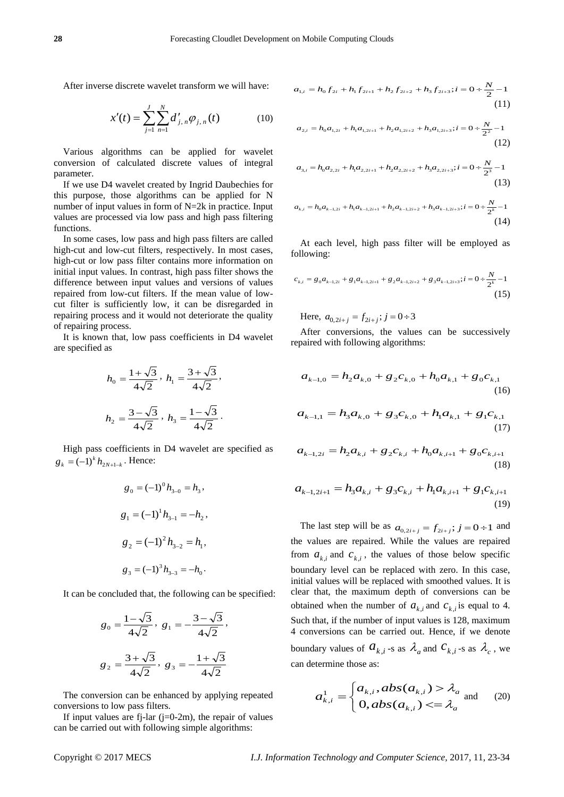After inverse discrete wavelet transform we will have:

$$
x'(t) = \sum_{j=1}^{J} \sum_{n=1}^{N} d'_{j,n} \varphi_{j,n}(t)
$$
 (10)

Various algorithms can be applied for wavelet conversion of calculated discrete values of integral parameter.

If we use D4 wavelet created by Ingrid Daubechies for this purpose, those algorithms can be applied for N number of input values in form of N=2k in practice. Input values are processed via low pass and high pass filtering functions.

In some cases, low pass and high pass filters are called high-cut and low-cut filters, respectively. In most cases, high-cut or low pass filter contains more information on initial input values. In contrast, high pass filter shows the difference between input values and versions of values repaired from low-cut filters. If the mean value of lowcut filter is sufficiently low, it can be disregarded in repairing process and it would not deteriorate the quality of repairing process.

It is known that, low pass coefficients in D4 wavelet are specified as

$$
h_0 = \frac{1 + \sqrt{3}}{4\sqrt{2}}, \quad h_1 = \frac{3 + \sqrt{3}}{4\sqrt{2}},
$$

$$
h_2 = \frac{3 - \sqrt{3}}{4\sqrt{2}}, \quad h_3 = \frac{1 - \sqrt{3}}{4\sqrt{2}}.
$$

High pass coefficients in D4 wavelet are specified as  $g_k = (-1)^k h_{2N+1-k}$ . Hence:

$$
g_0 = (-1)^0 h_{3-0} = h_3,
$$
  
\n
$$
g_1 = (-1)^1 h_{3-1} = -h_2,
$$
  
\n
$$
g_2 = (-1)^2 h_{3-2} = h_1,
$$
  
\n
$$
g_3 = (-1)^3 h_{3-3} = -h_0.
$$

It can be concluded that, the following can be specified:

$$
g_0 = \frac{1 - \sqrt{3}}{4\sqrt{2}}, g_1 = -\frac{3 - \sqrt{3}}{4\sqrt{2}},
$$
  
 $g_2 = \frac{3 + \sqrt{3}}{4\sqrt{2}}, g_3 = -\frac{1 + \sqrt{3}}{4\sqrt{2}}$ 

The conversion can be enhanced by applying repeated conversions to low pass filters.

If input values are fj-lar  $(j=0-2m)$ , the repair of values can be carried out with following simple algorithms:

$$
a_{1,i} = h_0 f_{2i} + h_1 f_{2i+1} + h_2 f_{2i+2} + h_3 f_{2i+3}; i = 0 \div \frac{N}{2} - 1
$$
\n(11)

$$
a_{2,i} = h_0 a_{1,2i} + h_1 a_{1,2i+1} + h_2 a_{1,2i+2} + h_3 a_{1,2i+3}; i = 0 \div \frac{N}{2^2} - 1
$$
\n(12)

$$
a_{3,i} = h_0 a_{2,2i} + h_1 a_{2,2i+1} + h_2 a_{2,2i+2} + h_3 a_{2,2i+3}; i = 0 \div \frac{N}{2^3} - 1
$$
\n(13)

$$
a_{k,i} = h_0 a_{k-1,2i} + h_1 a_{k-1,2i+1} + h_2 a_{k-1,2i+2} + h_3 a_{k-1,2i+3}; i = 0 \div \frac{N}{2^k} - 1
$$
\n(14)

At each level, high pass filter will be employed as following:

$$
c_{k,i} = g_0 a_{k-1,2i} + g_1 a_{k-1,2i+1} + g_2 a_{k-1,2i+2} + g_3 a_{k-1,2i+3}; i = 0 \div \frac{N}{2^k} - 1
$$
\n(15)

Here,  $a_{0,2i+j} = f_{2i+j}$ ;  $j = 0 \div 3$ 

After conversions, the values can be successively repaired with following algorithms:

$$
a_{k-1,0} = h_2 a_{k,0} + g_2 c_{k,0} + h_0 a_{k,1} + g_0 c_{k,1}
$$
\n(16)

$$
a_{k-1,1} = h_3 a_{k,0} + g_3 c_{k,0} + h_1 a_{k,1} + g_1 c_{k,1}
$$
\n(17)

$$
a_{k-1,2i} = h_2 a_{k,i} + g_2 c_{k,i} + h_0 a_{k,i+1} + g_0 c_{k,i+1}
$$
\n(18)

$$
a_{k-1,2i+1} = h_3 a_{k,i} + g_3 c_{k,i} + h_1 a_{k,i+1} + g_1 c_{k,i+1}
$$
\n(19)

The last step will be as  $a_{0,2i+j} = f_{2i+j}$ ;  $j = 0 \div 1$  and the values are repaired. While the values are repaired from  $a_{k,i}$  and  $c_{k,i}$ , the values of those below specific boundary level can be replaced with zero. In this case, initial values will be replaced with smoothed values. It is clear that, the maximum depth of conversions can be obtained when the number of  $a_{k,i}$  and  $c_{k,i}$  is equal to 4. Such that, if the number of input values is 128, maximum 4 conversions can be carried out. Hence, if we denote boundary values of  $a_{k,i}$  -s as  $\lambda_a$  and  $c_{k,i}$  -s as  $\lambda_c$ , we can determine those as:

$$
a_{k,i}^1 = \begin{cases} a_{k,i}, abs(a_{k,i}) > \lambda_a \\ 0, abs(a_{k,i}) < = \lambda_a \end{cases} \text{ and } (20)
$$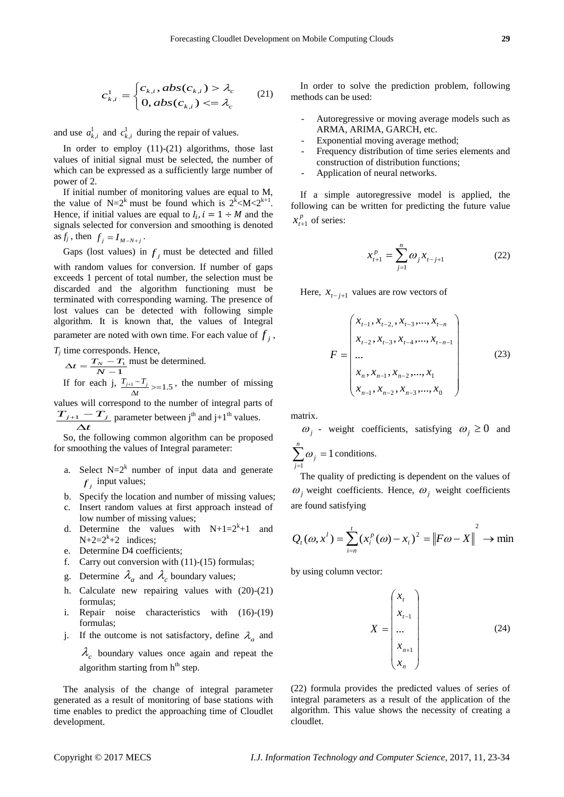$$
c_{k,i}^1 = \begin{cases} c_{k,i}, abs(c_{k,i}) > \lambda_c \\ 0, abs(c_{k,i}) < = \lambda_c \end{cases} (21)
$$

and use  $a_{k,i}^1$  and  $c_{k,i}^1$  during the repair of values.

In order to employ  $(11)-(21)$  algorithms, those last values of initial signal must be selected, the number of which can be expressed as a sufficiently large number of power of 2.

If initial number of monitoring values are equal to M, the value of  $N=2^k$  must be found which is  $2^k < M < 2^{k+1}$ . Hence, if initial values are equal to  $I_i$ ,  $i = 1 \div M$  and the signals selected for conversion and smoothing is denoted as  $f_j$ , then  $f_j = I_{M-N+j}$ .

Gaps (lost values) in  $f_j$  must be detected and filled with random values for conversion. If number of gaps exceeds 1 percent of total number, the selection must be discarded and the algorithm functioning must be terminated with corresponding warning. The presence of lost values can be detected with following simple algorithm. It is known that, the values of Integral parameter are noted with own time. For each value of  $f_j$ ,

*Tj* time corresponds. Hence,

 $\frac{-T_1}{-1}$  $\Delta t = \frac{T_N - T_N}{N}$  $t = \frac{T_N - T_1}{N}$  must be determined.  $_{+1} T_{j+1} - T_j$ , the number of missing

If for each j,  $\frac{T_{j+1} - T_j}{\Delta t} \ge 1.5$ *t* values will correspond to the number of integral parts of

*t T*<sub>*j*+1</sub> - *T*<sub>*j*</sub>  $\frac{1}{\Delta}$  $\frac{1}{1} + \frac{1}{1} - \frac{1}{1}$  parameter between j<sup>th</sup> and j+1<sup>th</sup> values.

So, the following common algorithm can be proposed for smoothing the values of Integral parameter:

- a. Select  $N=2^k$  number of input data and generate  $f_j$  input values;
- b. Specify the location and number of missing values;
- c. Insert random values at first approach instead of low number of missing values;
- d. Determine the values with  $N+1=2^{k}+1$ and  $N+2=2^k+2$  indices;
- e. Determine D4 coefficients;
- f. Carry out conversion with (11)-(15) formulas;
- g. Determine  $\lambda_a$  and  $\lambda_c$  boundary values;
- h. Calculate new repairing values with (20)-(21) formulas;
- i. Repair noise characteristics with (16)-(19) formulas;
- j. If the outcome is not satisfactory, define  $\lambda_a$  and

 $\lambda_c$  boundary values once again and repeat the algorithm starting from  $h<sup>th</sup>$  step.

The analysis of the change of integral parameter generated as a result of monitoring of base stations with time enables to predict the approaching time of Cloudlet development.

In order to solve the prediction problem, following methods can be used:

- Autoregressive or moving average models such as ARMA, ARIMA, GARCH, etc.
- Exponential moving average method;
- Frequency distribution of time series elements and construction of distribution functions;
- Application of neural networks.

If a simple autoregressive model is applied, the following can be written for predicting the future value *p*

$$
x_{t+1}^p
$$
 of series:

$$
x_{t+1}^p = \sum_{j=1}^n \omega_j x_{t-j+1}
$$
 (22)

Here,  $x_{t-j+1}$  values are row vectors of

$$
F = \begin{pmatrix} x_{t-1}, x_{t-2}, x_{t-3}, \dots, x_{t-n} \\ x_{t-2}, x_{t-3}, x_{t-4}, \dots, x_{t-n-1} \\ \dots \\ x_n, x_{n-1}, x_{n-2}, \dots, x_1 \\ x_{n-1}, x_{n-2}, x_{n-3}, \dots, x_0 \end{pmatrix}
$$
(23)

matrix.

 $\omega_j$  - weight coefficients, satisfying  $\omega_j \ge 0$  and  $\sum_{j=1}^n \omega_j =$ *j j* 1  $\omega_i = 1$  conditions.

The quality of predicting is dependent on the values of  $\omega_j$  weight coefficients. Hence,  $\omega_j$  weight coefficients are found satisfying

$$
Q_{t}(\omega, x^{t}) = \sum_{i=n}^{t} (x_{i}^{p}(\omega) - x_{i})^{2} = ||F\omega - X||^{2} \rightarrow \min
$$

by using column vector:

$$
X = \begin{pmatrix} x_t \\ x_{t-1} \\ \dots \\ x_{n+1} \\ x_n \end{pmatrix}
$$
 (24)

(22) formula provides the predicted values of series of integral parameters as a result of the application of the algorithm. This value shows the necessity of creating a cloudlet.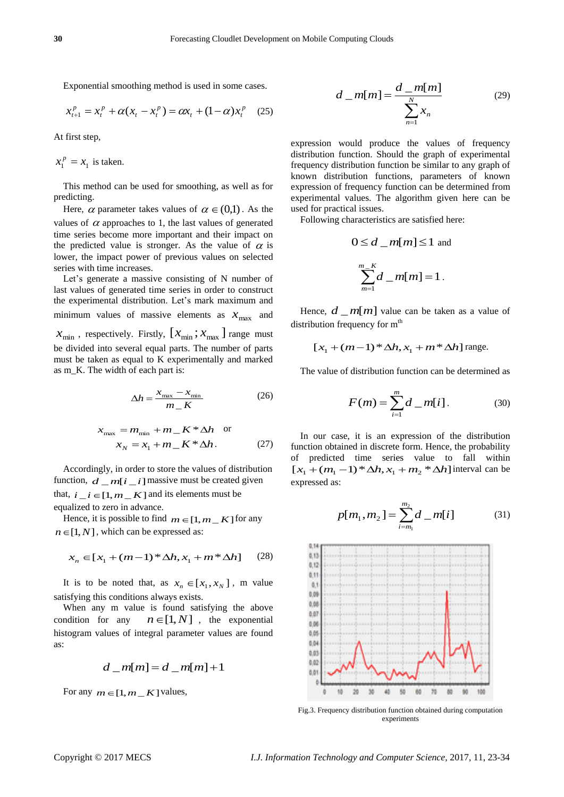Exponential smoothing method is used in some cases.

$$
x_{t+1}^p = x_t^p + \alpha (x_t - x_t^p) = \alpha x_t + (1 - \alpha) x_t^p \quad (25)
$$

At first step,

 $x_1^p = x_1$  is taken.

This method can be used for smoothing, as well as for predicting.

Here,  $\alpha$  parameter takes values of  $\alpha \in (0,1)$ . As the values of  $\alpha$  approaches to 1, the last values of generated time series become more important and their impact on the predicted value is stronger. As the value of  $\alpha$  is lower, the impact power of previous values on selected series with time increases.

Let's generate a massive consisting of N number of last values of generated time series in order to construct the experimental distribution. Let's mark maximum and minimum values of massive elements as  $x_{\text{max}}$  and

 $x_{\min}$ , respectively. Firstly,  $[x_{\min}; x_{\max}]$  range must be divided into several equal parts. The number of parts must be taken as equal to K experimentally and marked as m\_K. The width of each part is:

$$
\Delta h = \frac{x_{\text{max}} - x_{\text{min}}}{m_{-}K}
$$
 (26)

$$
x_{\text{max}} = m_{\text{min}} + m_{-} K^* \Delta h \quad \text{or}
$$

$$
x_N = x_1 + m_{-} K^* \Delta h. \tag{27}
$$

Accordingly, in order to store the values of distribution function,  $d \cdot m[i \cdot i]$  massive must be created given that,  $i_i \neq i \in [1, m_K]$  and its elements must be equalized to zero in advance.

Hence, it is possible to find  $m \in [1, m_K]$  for any  $n \in [1, N]$ , which can be expressed as:

$$
x_n \in [x_1 + (m-1) * \Delta h, x_1 + m^* \Delta h] \tag{28}
$$

It is to be noted that, as  $x_n \in [x_1, x_N]$ , m value satisfying this conditions always exists.

When any m value is found satisfying the above condition for any  $n \in [1, N]$ , the exponential histogram values of integral parameter values are found as:

$$
d_{-}m[m] = d_{-}m[m]+1
$$

For any  $m \in [1, m_K]$  values,

$$
d_{-}m[m] = \frac{d_{-}m[m]}{\sum_{n=1}^{N} x_n}
$$
 (29)

expression would produce the values of frequency distribution function. Should the graph of experimental frequency distribution function be similar to any graph of known distribution functions, parameters of known expression of frequency function can be determined from experimental values. The algorithm given here can be used for practical issues.

Following characteristics are satisfied here:

$$
0 \le d \_ m[m] \le 1
$$
 and  

$$
\sum_{m=1}^{m-K} d \_ m[m] = 1.
$$

Hence,  $d \_{m}[m]$  value can be taken as a value of distribution frequency for  $m<sup>th</sup>$ 

$$
[x_1 + (m-1) * \Delta h, x_1 + m * \Delta h]
$$
 range.

The value of distribution function can be determined as

$$
F(m) = \sum_{i=1}^{m} d_{-}m[i].
$$
 (30)

In our case, it is an expression of the distribution function obtained in discrete form. Hence, the probability of predicted time series value to fall within  $[x_1 + (m_1 - 1) * \Delta h, x_1 + m_2 * \Delta h]$  interval can be expressed as:

$$
p[m_1, m_2] = \sum_{i=m_1}^{m_2} d_{-}m[i] \tag{31}
$$



Fig.3. Frequency distribution function obtained during computation experiments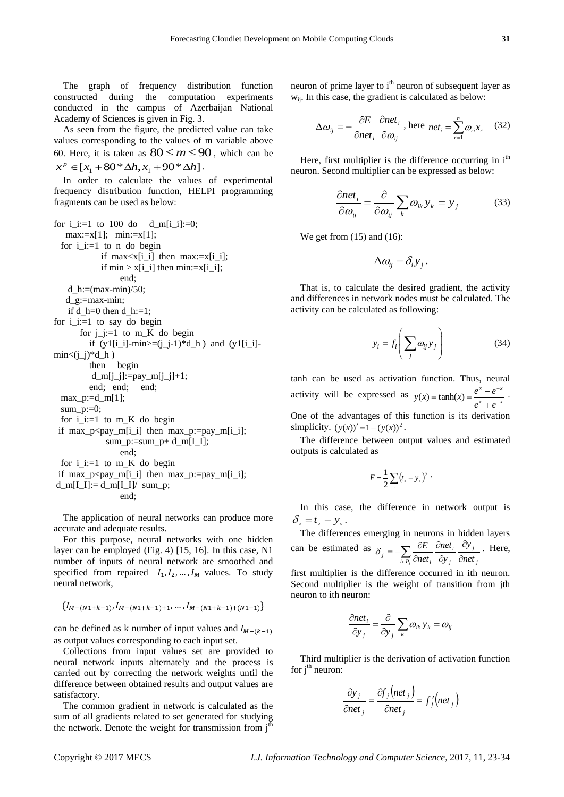The graph of frequency distribution function constructed during the computation experiments conducted in the campus of Azerbaijan National Academy of Sciences is given in Fig. 3.

As seen from the figure, the predicted value can take values corresponding to the values of m variable above 60. Here, it is taken as  $80 \le m \le 90$ , which can be  $x^p \in [x_1 + 80 * \Delta h, x_1 + 90 * \Delta h].$ 

In order to calculate the values of experimental frequency distribution function, HELPI programming fragments can be used as below:

for i\_i:=1 to 100 do d\_m[i\_i]:=0;  $max:=x[1];$   $min:=x[1];$ for  $i := 1$  to n do begin if  $max < x[i_i]$  then  $max := x[i_i];$ if  $\min > x[i_i]$  then  $\min := x[i_i]$ ; end; d  $h:=(max-min)/50$ ; d\_g:=max-min; if d\_h=0 then d\_h:=1; for  $i$ <sub> $i$ </sub> $:=$ 1 to say do begin for  $j_i := 1$  to  $m_K$  do begin if  $(y1[i_i]-min) = (i-i) * d_h$  and  $(y1[i_i]-i)$  $\text{min} \leq (j_i)^* d_h$  then begin  $d_m[j_j]:=pay_m[j_j]+1;$  end; end; end;  $max_p:=d_m[1];$  $sum_p:=0;$ for  $i := 1$  to m K do begin if max\_p<pay\_m[i\_i] then max\_p:=pay\_m[i\_i];  $sum_p:=sum_p+ d_m[I_I];$  end; for  $i$ <sub>i</sub>:=1 to m<sub>K</sub> do begin if  $max_p < pay_m[i_i]$  then  $max_p := pay_m[i_i];$  $d_m[I_I]:= d_m[I_I]/ \text{ sum}_p;$ end;

The application of neural networks can produce more accurate and adequate results.

For this purpose, neural networks with one hidden layer can be employed (Fig. 4) [15, 16]. In this case, N1 number of inputs of neural network are smoothed and specified from repaired  $I_1, I_2, ..., I_M$  values. To study neural network,

$$
\{I_{M-(N1+k-1)}, I_{M-(N1+k-1)+1}, \ldots, I_{M-(N1+k-1)+(N1-1)}\}
$$

can be defined as k number of input values and  $I_{M-(k-1)}$ as output values corresponding to each input set.

Collections from input values set are provided to neural network inputs alternately and the process is carried out by correcting the network weights until the difference between obtained results and output values are satisfactory.

The common gradient in network is calculated as the sum of all gradients related to set generated for studying the network. Denote the weight for transmission from  $j<sup>th</sup>$ 

neuron of prime layer to i<sup>th</sup> neuron of subsequent layer as wij. In this case, the gradient is calculated as below:

$$
\Delta \omega_{ij} = -\frac{\partial E}{\partial net_i} \frac{\partial net_i}{\partial \omega_{ij}}, \text{here } net_i = \sum_{r=1}^n \omega_{ri} x_r \quad (32)
$$

Here, first multiplier is the difference occurring in  $i<sup>th</sup>$ neuron. Second multiplier can be expressed as below:

$$
\frac{\partial net_i}{\partial \omega_{ij}} = \frac{\partial}{\partial \omega_{ij}} \sum_k \omega_{ik} y_k = y_j \tag{33}
$$

We get from  $(15)$  and  $(16)$ :

$$
\Delta \omega_{ij} = \delta_i y_j.
$$

That is, to calculate the desired gradient, the activity and differences in network nodes must be calculated. The activity can be calculated as following:

$$
y_i = f_i \left( \sum_j \omega_{ij} y_j \right) \tag{34}
$$

tanh can be used as activation function. Thus, neural activity will be expressed as  $y(x) = \tanh(x) = \frac{e^x - e^x}{e^x + e^{-x}}$  $x \qquad -x$  $e^x + e$  $y(x) = \tanh(x) = \frac{e^x - e^{-x}}{e^x + e^{-x}}$  $\overline{a}$  $\ddot{}$  $f(x) = \tanh(x) = \frac{e^x - e^{-x}}{e^x}$ . One of the advantages of this function is its derivation simplicity.  $(y(x))' = 1 - (y(x))^2$ .

The difference between output values and estimated outputs is calculated as

$$
E=\frac{1}{2}\sum_{\circ}(t_{\circ}-y_{\circ})^{2}
$$

In this case, the difference in network output is  $\delta_{\circ} = t_{\circ} - y_{\circ}$ .

The differences emerging in neurons in hidden layers can be estimated as *j j j i*  $j = -\sum_{i \in P_j} \overline{\partial} net_i \cdot \overline{\partial} y_j \cdot \overline{\partial} net$ *y y net net E f*<sub>*i*</sub>  $\partial_{i}$   $\partial_{j}$   $\partial_{i}$  $\partial$  $\partial$  $\partial$  $\partial$  $=-\sum_{i\in P_i}\frac{\partial}{\partial n}$  $\delta_{i} = -\sum \frac{\partial E}{\partial t_{i}} \frac{\partial net_{i}}{\partial t_{i}} \frac{\partial y_{j}}{\partial t_{i}}$ . Here,

first multiplier is the difference occurred in ith neuron. Second multiplier is the weight of transition from jth neuron to ith neuron:

$$
\frac{\partial net_i}{\partial y_j} = \frac{\partial}{\partial y_j} \sum_k \omega_{ik} y_k = \omega_{ij}
$$

Third multiplier is the derivation of activation function for  $i<sup>th</sup>$  neuron:

$$
\frac{\partial y_j}{\partial net_j} = \frac{\partial f_j(net_j)}{\partial net_j} = f'_j(net_j)
$$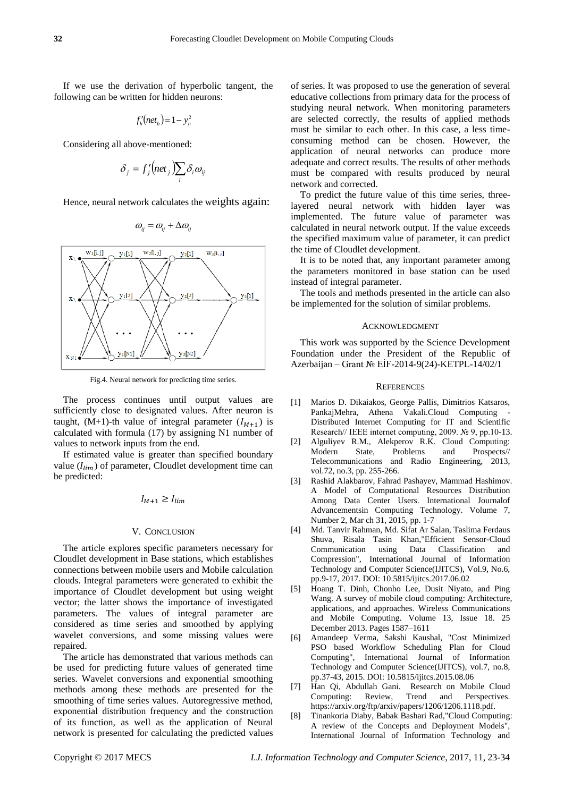If we use the derivation of hyperbolic tangent, the following can be written for hidden neurons:

$$
f_h'(net_h) = 1 - y_h^2
$$

Considering all above-mentioned:

$$
\delta_j = f'_j \big( net_j \big) \sum_i \delta_i \omega_{ij}
$$

Hence, neural network calculates the weights again:

$$
\omega_{ij} = \omega_{ij} + \Delta \omega_{ij}
$$



Fig.4. Neural network for predicting time series.

The process continues until output values are sufficiently close to designated values. After neuron is taught,  $(M+1)$ -th value of integral parameter  $(I_{M+1})$  is calculated with formula (17) by assigning N1 number of values to network inputs from the end.

If estimated value is greater than specified boundary value  $(I_{lim})$  of parameter, Cloudlet development time can be predicted:

 $I_{M+1} \geq I_{lim}$ 

#### V. CONCLUSION

The article explores specific parameters necessary for Cloudlet development in Base stations, which establishes connections between mobile users and Mobile calculation clouds. Integral parameters were generated to exhibit the importance of Cloudlet development but using weight vector; the latter shows the importance of investigated parameters. The values of integral parameter are considered as time series and smoothed by applying wavelet conversions, and some missing values were repaired.

The article has demonstrated that various methods can be used for predicting future values of generated time series. Wavelet conversions and exponential smoothing methods among these methods are presented for the smoothing of time series values. Autoregressive method, exponential distribution frequency and the construction of its function, as well as the application of Neural network is presented for calculating the predicted values

of series. It was proposed to use the generation of several educative collections from primary data for the process of studying neural network. When monitoring parameters are selected correctly, the results of applied methods must be similar to each other. In this case, a less timeconsuming method can be chosen. However, the application of neural networks can produce more adequate and correct results. The results of other methods must be compared with results produced by neural network and corrected.

To predict the future value of this time series, threelayered neural network with hidden layer was implemented. The future value of parameter was calculated in neural network output. If the value exceeds the specified maximum value of parameter, it can predict the time of Cloudlet development.

It is to be noted that, any important parameter among the parameters monitored in base station can be used instead of integral parameter.

The tools and methods presented in the article can also be implemented for the solution of similar problems.

#### ACKNOWLEDGMENT

This work was supported by the Science Development Foundation under the President of the Republic of Azerbaijan – Grant № EİF-2014-9(24)-KETPL-14/02/1

#### **REFERENCES**

- [1] Marios D. Dikaiakos, George Pallis, Dimitrios Katsaros, PankajMehra, Athena Vakali.Cloud Computing Distributed Internet Computing for IT and Scientific Research// IEEE internet computing, 2009. № 9, pp.10-13.
- [2] Alguliyev R.M., Alekperov R.K. Cloud Computing: Modern State, Problems and Prospects// Telecommunications and Radio Engineering, 2013, vol.72, no.3, pp. 255-266.
- [3] Rashid Alakbarov, Fahrad Pashayev, Mammad Hashimov. A Model of Computational Resources Distribution Among Data Center Users. International Journalof Advancementsin Computing Technology. Volume 7, Number 2, Mar ch 31, 2015, pp. 1-7
- [4] Md. Tanvir Rahman, Md. Sifat Ar Salan, Taslima Ferdaus Shuva, Risala Tasin Khan,"Efficient Sensor-Cloud Communication using Data Classification and Compression", International Journal of Information Technology and Computer Science(IJITCS), Vol.9, No.6, pp.9-17, 2017. DOI: 10.5815/ijitcs.2017.06.02
- [5] Hoang T. Dinh, Chonho Lee, Dusit Niyato, and Ping Wang. A survey of mobile cloud computing: Architecture, applications, and approaches. Wireless Communications and Mobile Computing. Volume 13, Issue 18. 25 December 2013. Pages 1587–1611
- [6] Amandeep Verma, Sakshi Kaushal, "Cost Minimized PSO based Workflow Scheduling Plan for Cloud Computing", International Journal of Information Technology and Computer Science(IJITCS), vol.7, no.8, pp.37-43, 2015. DOI: 10.5815/ijitcs.2015.08.06
- [7] Han Qi, Abdullah Gani. Research on Mobile Cloud Computing: Review, Trend and Perspectives. https://arxiv.org/ftp/arxiv/papers/1206/1206.1118.pdf.
- [8] Tinankoria Diaby, Babak Bashari Rad,"Cloud Computing: A review of the Concepts and Deployment Models", International Journal of Information Technology and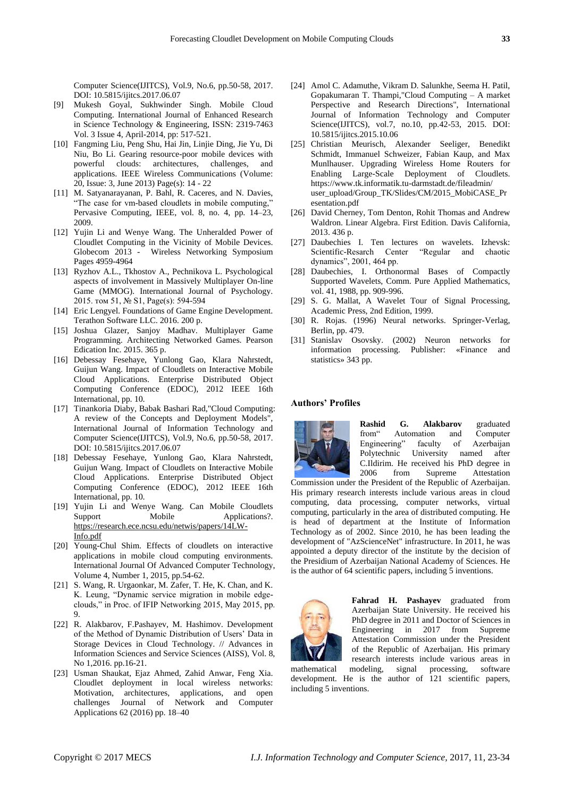Computer Science(IJITCS), Vol.9, No.6, pp.50-58, 2017. DOI: 10.5815/ijitcs.2017.06.07

- [9] Mukesh Goyal, Sukhwinder Singh. Mobile Cloud Computing. International Journal of Enhanced Research in Science Technology & Engineering, ISSN: 2319-7463 Vol. 3 Issue 4, April-2014, pp: 517-521.
- [10] Fangming Liu, Peng Shu, Hai Jin, Linjie Ding, Jie Yu, Di Niu, Bo Li. Gearing resource-poor mobile devices with powerful clouds: architectures, challenges, and applications. IEEE Wireless Communications (Volume: 20, Issue: 3, June 2013) Page(s): 14 - 22
- [11] M. Satyanarayanan, P. Bahl, R. Caceres, and N. Davies, "The case for vm-based cloudlets in mobile computing," Pervasive Computing, IEEE, vol. 8, no. 4, pp. 14–23, 2009.
- [12] Yujin Li and Wenye Wang. The Unheralded Power of Cloudlet Computing in the Vicinity of Mobile Devices. Globecom 2013 - Wireless Networking Symposium Pages 4959-4964
- [13] Ryzhov A.L., Tkhostov A., Pechnikova L. Psychological aspects of involvement in Massively Multiplayer On-line Game (MMOG). International Journal of Psychology. 2015. том 51, № S1, Page(s): 594-594
- [14] Eric Lengyel. Foundations of Game Engine Development. Terathon Software LLC. 2016. 200 p.
- [15] Joshua Glazer, Sanjoy Madhav. Multiplayer Game Programming. Architecting Networked Games. Pearson Edication Inc. 2015. 365 p.
- [16] Debessay Fesehaye, Yunlong Gao, Klara Nahrstedt, Guijun Wang. Impact of Cloudlets on Interactive Mobile Cloud Applications. Enterprise Distributed Object Computing Conference (EDOC), 2012 IEEE 16th International, pp. 10.
- [17] Tinankoria Diaby, Babak Bashari Rad,"Cloud Computing: A review of the Concepts and Deployment Models", International Journal of Information Technology and Computer Science(IJITCS), Vol.9, No.6, pp.50-58, 2017. DOI: 10.5815/ijitcs.2017.06.07
- [18] Debessay Fesehaye, Yunlong Gao, Klara Nahrstedt, Guijun Wang. Impact of Cloudlets on Interactive Mobile Cloud Applications. Enterprise Distributed Object Computing Conference (EDOC), 2012 IEEE 16th International, pp. 10.
- [19] Yujin Li and Wenye Wang. Can Mobile Cloudlets Support Mobile Applications?. [https://research.ece.ncsu.edu/netwis/papers/14LW-](https://research.ece.ncsu.edu/netwis/papers/14LW-Info.pdf)[Info.pdf](https://research.ece.ncsu.edu/netwis/papers/14LW-Info.pdf)
- [20] Young-Chul Shim. Effects of cloudlets on interactive applications in mobile cloud computing environments. International Journal Of Advanced Computer Technology, Volume 4, Number 1, 2015, pp.54-62.
- [21] S. Wang, R. Urgaonkar, M. Zafer, T. He, K. Chan, and K. K. Leung, "Dynamic service migration in mobile edgeclouds," in Proc. of IFIP Networking 2015, May 2015, pp. 9.
- [22] R. Alakbarov, F.Pashayev, M. Hashimov. Development of the Method of Dynamic Distribution of Users' Data in Storage Devices in Cloud Technology. // Advances in Information Sciences and Service Sciences (AISS), Vol. 8, No 1,2016. pp.16-21.
- [23] Usman Shaukat, Ejaz Ahmed, Zahid Anwar, Feng Xia. Cloudlet deployment in local wireless networks: Motivation, architectures, applications, and open challenges Journal of Network and Computer Applications 62 (2016) pp. 18–40
- [24] Amol C. Adamuthe, Vikram D. Salunkhe, Seema H. Patil, Gopakumaran T. Thampi,"Cloud Computing – A market Perspective and Research Directions", International Journal of Information Technology and Computer Science(IJITCS), vol.7, no.10, pp.42-53, 2015. DOI: 10.5815/ijitcs.2015.10.06
- [25] Christian Meurisch, Alexander Seeliger, Benedikt Schmidt, Immanuel Schweizer, Fabian Kaup, and Max Munlhauser. Upgrading Wireless Home Routers for Enabling Large-Scale Deployment of Cloudlets. <https://www.tk.informatik.tu-darmstadt.de/fileadmin/> user\_upload/Group\_TK/Slides/CM/2015\_MobiCASE\_Pr esentation.pdf
- [26] David Cherney, Tom Denton, Rohit Thomas and Andrew Waldron. Linear Algebra. First Edition. Davis California, 2013. 436 p.
- [27] Daubechies I. Ten lectures on wavelets. Izhevsk: Scientific-Resarch Center "Regular and chaotic dynamics", 2001, 464 pp.
- [28] Daubechies, I. Orthonormal Bases of Compactly Supported Wavelets, Comm. Pure Applied Mathematics, vol. 41, 1988, pp. 909-996.
- [29] S. G. Mallat, A Wavelet Tour of Signal Processing, Academic Press, 2nd Edition, 1999.
- [30] R. Rojas. (1996) Neural networks. Springer-Verlag, Berlin, pp. 479.
- [31] Stanislav Osovsky. (2002) Neuron networks for information processing. Publisher: «Finance and statistics» 343 pp.

## **Authors' Profiles**



**Rashid G. Alakbarov** graduated from Automation and Computer Engineering" faculty of Azerbaijan Polytechnic University named after C.Ildirim. He received his PhD degree in 2006 from Supreme Attestation

Commission under the President of the Republic of Azerbaijan. His primary research interests include various areas in cloud computing, data processing, computer networks, virtual computing, particularly in the area of distributed computing. He is head of department at the Institute of Information Technology as of 2002. Since 2010, he has been leading the development of "AzScienceNet" infrastructure. In 2011, he was appointed a deputy director of the institute by the decision of the Presidium of Azerbaijan National Academy of Sciences. He is the author of 64 scientific papers, including 5 inventions.



**Fahrad H. Pashayev** graduated from Azerbaijan State University. He received his PhD degree in 2011 and Doctor of Sciences in Engineering in 2017 from Supreme Attestation Commission under the President of the Republic of Azerbaijan. His primary research interests include various areas in

mathematical modeling, signal processing, software development. He is the author of 121 scientific papers, including 5 inventions.